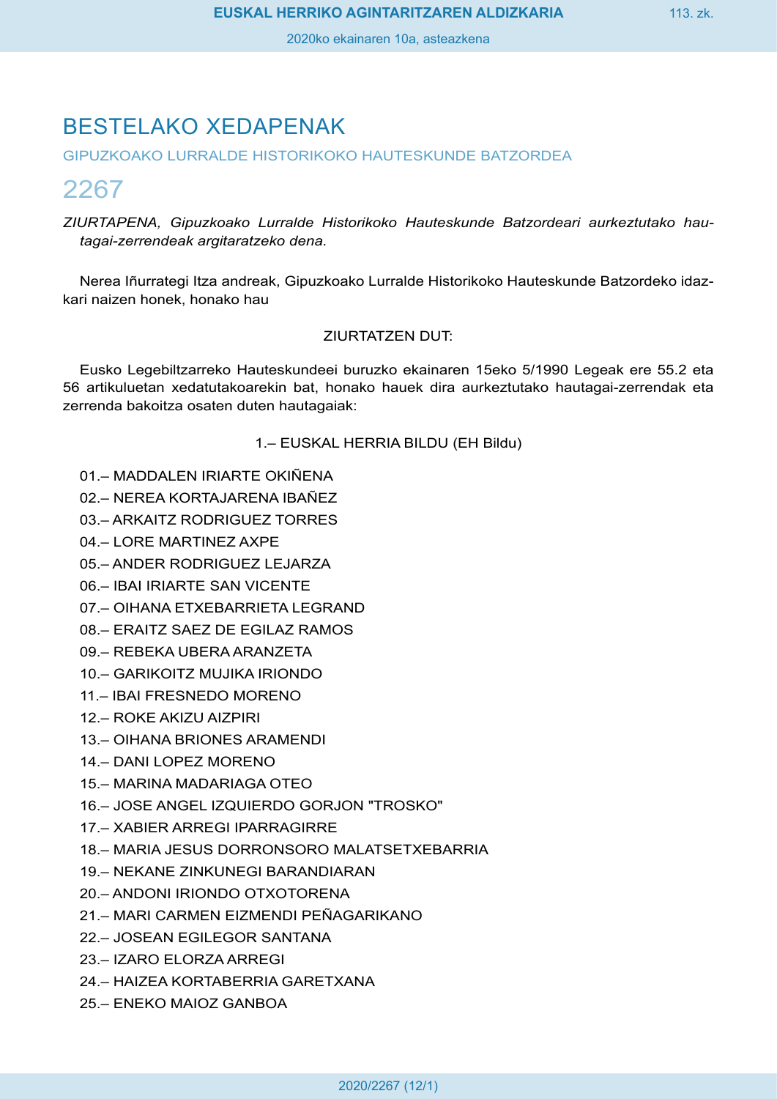# BESTELAKO XEDAPENAK

GIPUZKOAKO LURRALDE HISTORIKOKO HAUTESKUNDE BATZORDEA

# 2267

*ZIURTAPENA, Gipuzkoako Lurralde Historikoko Hauteskunde Batzordeari aurkeztutako hautagai-zerrendeak argitaratzeko dena.*

Nerea Iñurrategi Itza andreak, Gipuzkoako Lurralde Historikoko Hauteskunde Batzordeko idazkari naizen honek, honako hau

## ZIURTATZEN DUT:

Eusko Legebiltzarreko Hauteskundeei buruzko ekainaren 15eko 5/1990 Legeak ere 55.2 eta 56 artikuluetan xedatutakoarekin bat, honako hauek dira aurkeztutako hautagai-zerrendak eta zerrenda bakoitza osaten duten hautagaiak:

## 1.– EUSKAL HERRIA BILDU (EH Bildu)

- 01.– MADDALEN IRIARTE OKIÑENA
- 02.– NEREA KORTAJARENA IBAÑEZ
- 03.– ARKAITZ RODRIGUEZ TORRES
- 04.– LORE MARTINEZ AXPE
- 05.– ANDER RODRIGUEZ LEJARZA
- 06.– IBAI IRIARTE SAN VICENTE
- 07.– OIHANA ETXEBARRIETA LEGRAND
- 08.– ERAITZ SAEZ DE EGILAZ RAMOS
- 09.– REBEKA UBERA ARANZETA
- 10.– GARIKOITZ MUJIKA IRIONDO
- 11.– IBAI FRESNEDO MORENO
- 12.– ROKE AKIZU AIZPIRI
- 13.– OIHANA BRIONES ARAMENDI
- 14.– DANI LOPEZ MORENO
- 15.– MARINA MADARIAGA OTEO
- 16.– JOSE ANGEL IZQUIERDO GORJON "TROSKO"
- 17.– XABIER ARREGI IPARRAGIRRE
- 18.– MARIA JESUS DORRONSORO MALATSETXEBARRIA
- 19.– NEKANE ZINKUNEGI BARANDIARAN
- 20.– ANDONI IRIONDO OTXOTORENA
- 21.– MARI CARMEN EIZMENDI PEÑAGARIKANO
- 22.– JOSEAN EGILEGOR SANTANA
- 23.– IZARO ELORZA ARREGI
- 24.– HAIZEA KORTABERRIA GARETXANA
- 25.– ENEKO MAIOZ GANBOA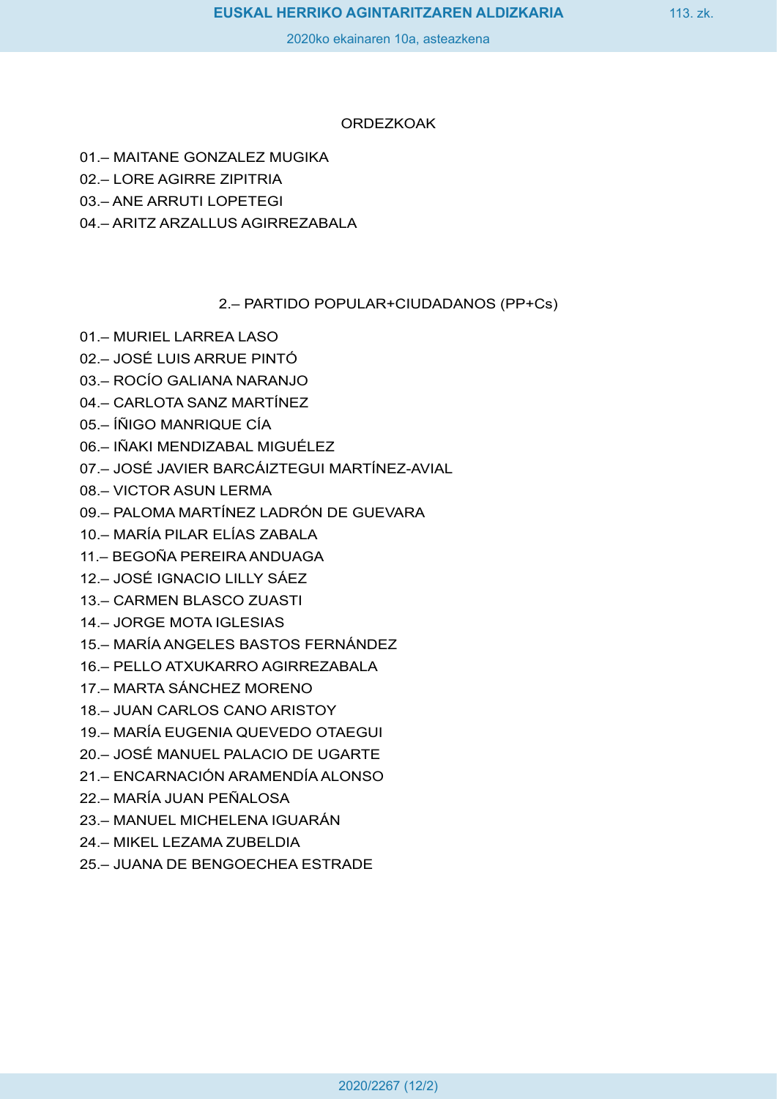#### ORDEZKOAK

- 01.– MAITANE GONZALEZ MUGIKA
- 02.– LORE AGIRRE ZIPITRIA
- 03.– ANE ARRUTI LOPETEGI
- 04.– ARITZ ARZALLUS AGIRREZABALA

## 2.– PARTIDO POPULAR+CIUDADANOS (PP+Cs)

- 01.– MURIEL LARREA LASO
- 02.– JOSÉ LUIS ARRUE PINTÓ
- 03.– ROCÍO GALIANA NARANJO
- 04.– CARLOTA SANZ MARTÍNEZ
- 05.– ÍÑIGO MANRIQUE CÍA
- 06.– IÑAKI MENDIZABAL MIGUÉLEZ
- 07.– JOSÉ JAVIER BARCÁIZTEGUI MARTÍNEZ-AVIAL
- 08.– VICTOR ASUN LERMA
- 09.– PALOMA MARTÍNEZ LADRÓN DE GUEVARA
- 10.– MARÍA PILAR ELÍAS ZABALA
- 11.– BEGOÑA PEREIRA ANDUAGA
- 12.– JOSÉ IGNACIO LILLY SÁEZ
- 13.– CARMEN BLASCO ZUASTI
- 14.– JORGE MOTA IGLESIAS
- 15.– MARÍA ANGELES BASTOS FERNÁNDEZ
- 16.– PELLO ATXUKARRO AGIRREZABALA
- 17.– MARTA SÁNCHEZ MORENO
- 18.– JUAN CARLOS CANO ARISTOY
- 19.– MARÍA EUGENIA QUEVEDO OTAEGUI
- 20.– JOSÉ MANUEL PALACIO DE UGARTE
- 21.– ENCARNACIÓN ARAMENDÍA ALONSO
- 22.– MARÍA JUAN PEÑALOSA
- 23.– MANUEL MICHELENA IGUARÁN
- 24.– MIKEL LEZAMA ZUBELDIA
- 25.– JUANA DE BENGOECHEA ESTRADE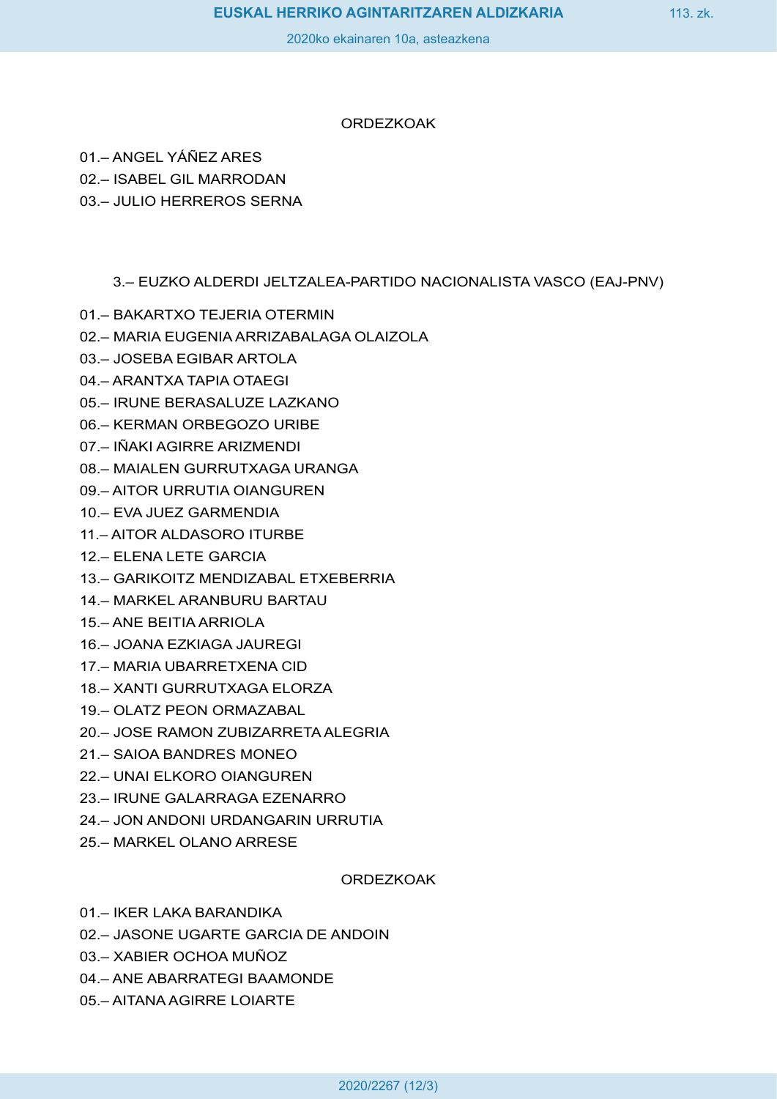#### ORDEZKOAK

01.– ANGEL YÁÑEZ ARES

02.– ISABEL GIL MARRODAN

03.– JULIO HERREROS SERNA

## 3.– EUZKO ALDERDI JELTZALEA-PARTIDO NACIONALISTA VASCO (EAJ-PNV)

- 01.– BAKARTXO TEJERIA OTERMIN
- 02.– MARIA EUGENIA ARRIZABALAGA OLAIZOLA
- 03.– JOSEBA EGIBAR ARTOLA
- 04.– ARANTXA TAPIA OTAEGI
- 05.– IRUNE BERASALUZE LAZKANO
- 06.– KERMAN ORBEGOZO URIBE
- 07.– IÑAKI AGIRRE ARIZMENDI
- 08.– MAIALEN GURRUTXAGA URANGA
- 09.– AITOR URRUTIA OIANGUREN
- 10.– EVA JUEZ GARMENDIA
- 11.– AITOR ALDASORO ITURBE
- 12.– ELENA LETE GARCIA
- 13.– GARIKOITZ MENDIZABAL ETXEBERRIA
- 14.– MARKEL ARANBURU BARTAU
- 15.– ANE BEITIA ARRIOLA
- 16.– JOANA EZKIAGA JAUREGI
- 17.– MARIA UBARRETXENA CID
- 18.– XANTI GURRUTXAGA ELORZA
- 19.– OLATZ PEON ORMAZABAL
- 20.– JOSE RAMON ZUBIZARRETA ALEGRIA
- 21.– SAIOA BANDRES MONEO
- 22.– UNAI ELKORO OIANGUREN
- 23.– IRUNE GALARRAGA EZENARRO
- 24.– JON ANDONI URDANGARIN URRUTIA
- 25.– MARKEL OLANO ARRESE

**ORDEZKOAK** 

- 01.– IKER LAKA BARANDIKA
- 02.– JASONE UGARTE GARCIA DE ANDOIN
- 03.– XABIER OCHOA MUÑOZ
- 04.– ANE ABARRATEGI BAAMONDE
- 05.– AITANA AGIRRE LOIARTE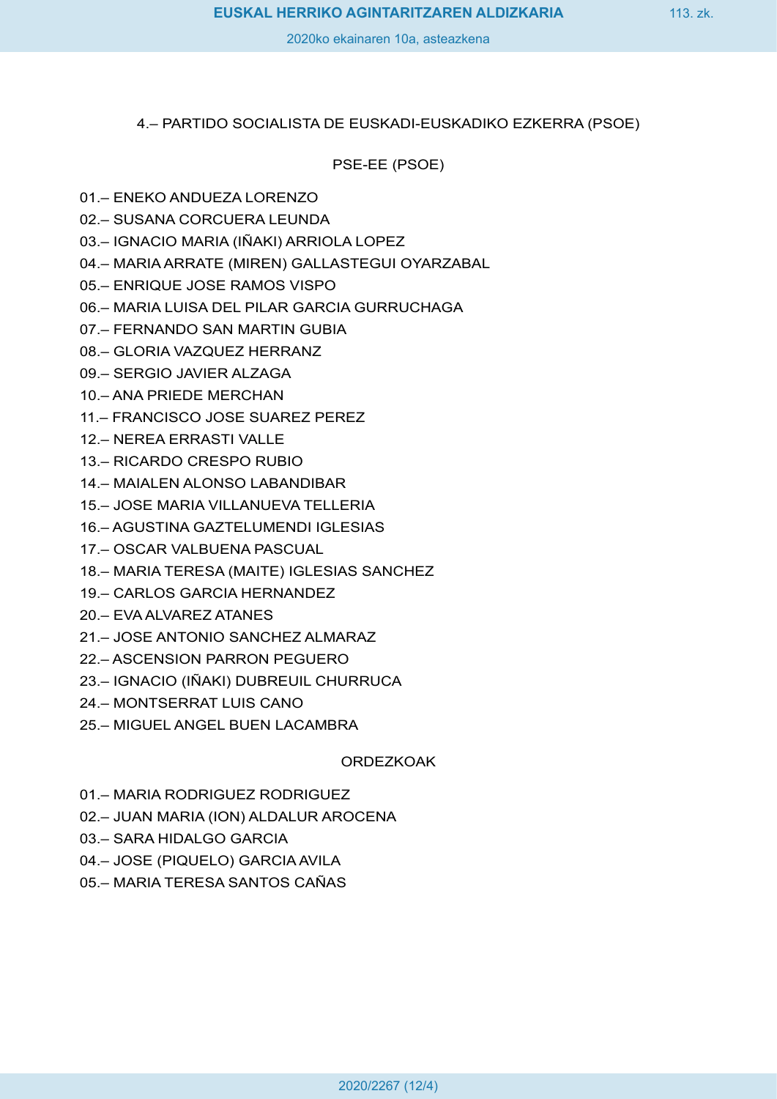#### 4.– PARTIDO SOCIALISTA DE EUSKADI-EUSKADIKO EZKERRA (PSOE)

PSE-EE (PSOE)

## 01.– ENEKO ANDUEZA LORENZO

- 02.– SUSANA CORCUERA LEUNDA
- 03.– IGNACIO MARIA (IÑAKI) ARRIOLA LOPEZ
- 04.– MARIA ARRATE (MIREN) GALLASTEGUI OYARZABAL
- 05.– ENRIQUE JOSE RAMOS VISPO
- 06.– MARIA LUISA DEL PILAR GARCIA GURRUCHAGA
- 07.– FERNANDO SAN MARTIN GUBIA
- 08.– GLORIA VAZQUEZ HERRANZ
- 09.– SERGIO JAVIER ALZAGA
- 10.– ANA PRIEDE MERCHAN
- 11.– FRANCISCO JOSE SUAREZ PEREZ
- 12.– NEREA ERRASTI VALLE
- 13.– RICARDO CRESPO RUBIO
- 14.– MAIALEN ALONSO LABANDIBAR
- 15.– JOSE MARIA VILLANUEVA TELLERIA
- 16.– AGUSTINA GAZTELUMENDI IGLESIAS
- 17.– OSCAR VALBUENA PASCUAL
- 18.– MARIA TERESA (MAITE) IGLESIAS SANCHEZ
- 19.– CARLOS GARCIA HERNANDEZ
- 20.– EVA ALVAREZ ATANES
- 21.– JOSE ANTONIO SANCHEZ ALMARAZ
- 22.– ASCENSION PARRON PEGUERO
- 23.– IGNACIO (IÑAKI) DUBREUIL CHURRUCA
- 24.– MONTSERRAT LUIS CANO
- 25.– MIGUEL ANGEL BUEN LACAMBRA

**ORDEZKOAK** 

- 01.– MARIA RODRIGUEZ RODRIGUEZ
- 02.– JUAN MARIA (ION) ALDALUR AROCENA
- 03.– SARA HIDALGO GARCIA
- 04.– JOSE (PIQUELO) GARCIA AVILA
- 05.– MARIA TERESA SANTOS CAÑAS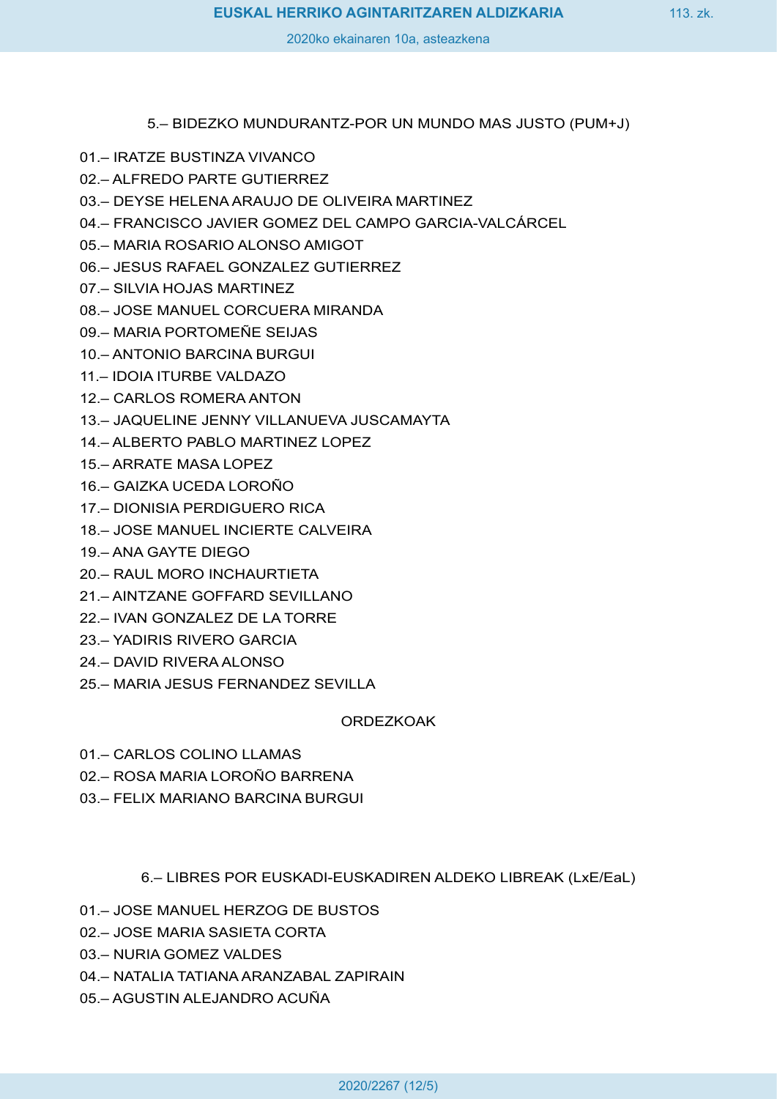## 5.– BIDEZKO MUNDURANTZ-POR UN MUNDO MAS JUSTO (PUM+J)

- 01.– IRATZE BUSTINZA VIVANCO
- 02.– ALFREDO PARTE GUTIERREZ
- 03.– DEYSE HELENA ARAUJO DE OLIVEIRA MARTINEZ
- 04.– FRANCISCO JAVIER GOMEZ DEL CAMPO GARCIA-VALCÁRCEL
- 05.– MARIA ROSARIO ALONSO AMIGOT
- 06.– JESUS RAFAEL GONZALEZ GUTIERREZ
- 07.– SILVIA HOJAS MARTINEZ
- 08.– JOSE MANUEL CORCUERA MIRANDA
- 09.– MARIA PORTOMEÑE SEIJAS
- 10.– ANTONIO BARCINA BURGUI
- 11.– IDOIA ITURBE VALDAZO
- 12.– CARLOS ROMERA ANTON
- 13.– JAQUELINE JENNY VILLANUEVA JUSCAMAYTA
- 14.– ALBERTO PABLO MARTINEZ LOPEZ
- 15.– ARRATE MASA LOPEZ
- 16.– GAIZKA UCEDA LOROÑO
- 17.– DIONISIA PERDIGUERO RICA
- 18.– JOSE MANUEL INCIERTE CALVEIRA
- 19.– ANA GAYTE DIEGO
- 20.– RAUL MORO INCHAURTIETA
- 21.– AINTZANE GOFFARD SEVILLANO
- 22.– IVAN GONZALEZ DE LA TORRE
- 23.– YADIRIS RIVERO GARCIA
- 24.– DAVID RIVERA ALONSO
- 25.– MARIA JESUS FERNANDEZ SEVILLA

ORDEZKOAK

- 01.– CARLOS COLINO LLAMAS
- 02.– ROSA MARIA LOROÑO BARRENA
- 03.– FELIX MARIANO BARCINA BURGUI

6.– LIBRES POR EUSKADI-EUSKADIREN ALDEKO LIBREAK (LxE/EaL)

- 01.– JOSE MANUEL HERZOG DE BUSTOS
- 02.– JOSE MARIA SASIETA CORTA
- 03.– NURIA GOMEZ VALDES
- 04.– NATALIA TATIANA ARANZABAL ZAPIRAIN
- 05.– AGUSTIN ALEJANDRO ACUÑA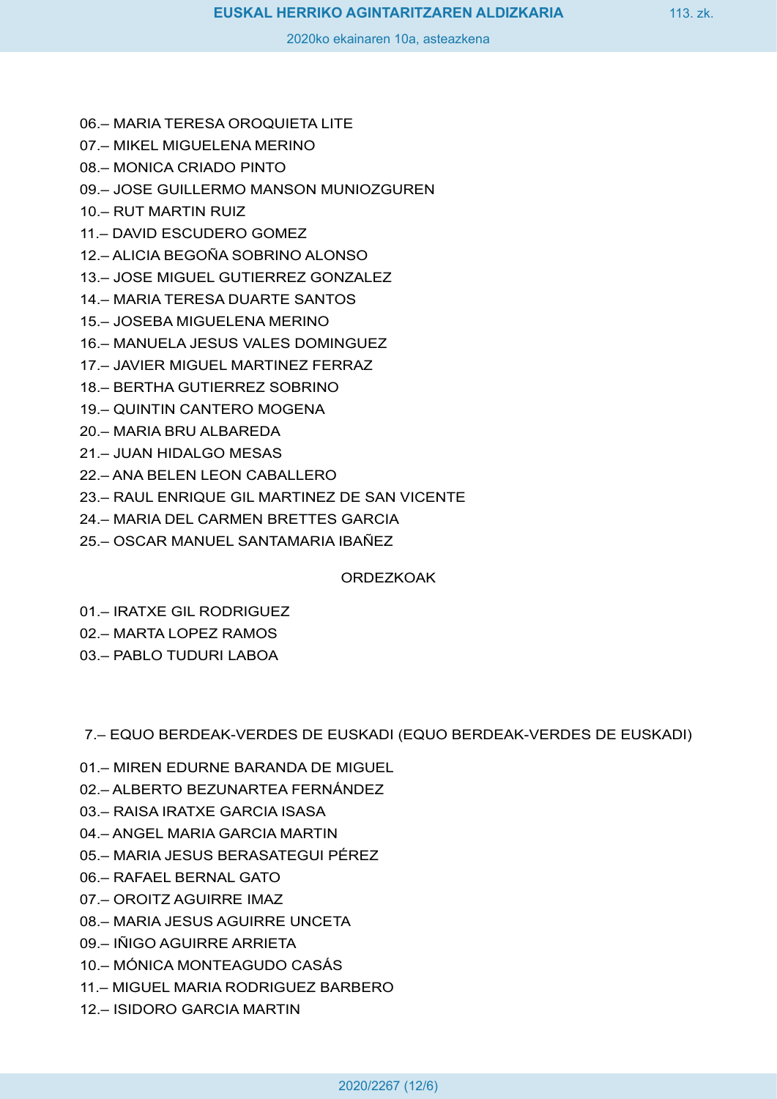- 06.– MARIA TERESA OROQUIETA LITE
- 07.– MIKEL MIGUELENA MERINO
- 08.– MONICA CRIADO PINTO
- 09.– JOSE GUILLERMO MANSON MUNIOZGUREN
- 10.– RUT MARTIN RUIZ
- 11.– DAVID ESCUDERO GOMEZ
- 12.– ALICIA BEGOÑA SOBRINO ALONSO
- 13.– JOSE MIGUEL GUTIERREZ GONZALEZ
- 14.– MARIA TERESA DUARTE SANTOS
- 15.– JOSEBA MIGUELENA MERINO
- 16.– MANUELA JESUS VALES DOMINGUEZ
- 17.– JAVIER MIGUEL MARTINEZ FERRAZ
- 18.– BERTHA GUTIERREZ SOBRINO
- 19.– QUINTIN CANTERO MOGENA
- 20.– MARIA BRU ALBAREDA
- 21.– JUAN HIDALGO MESAS
- 22.– ANA BELEN LEON CABALLERO
- 23.– RAUL ENRIQUE GIL MARTINEZ DE SAN VICENTE
- 24.– MARIA DEL CARMEN BRETTES GARCIA
- 25.– OSCAR MANUEL SANTAMARIA IBAÑEZ

#### ORDEZKOAK

- 01.– IRATXE GIL RODRIGUEZ
- 02.– MARTA LOPEZ RAMOS
- 03.– PABLO TUDURI LABOA

7.– EQUO BERDEAK-VERDES DE EUSKADI (EQUO BERDEAK-VERDES DE EUSKADI)

- 01.– MIREN EDURNE BARANDA DE MIGUEL
- 02.– ALBERTO BEZUNARTEA FERNÁNDEZ
- 03.– RAISA IRATXE GARCIA ISASA
- 04.– ANGEL MARIA GARCIA MARTIN
- 05.– MARIA JESUS BERASATEGUI PÉREZ
- 06.– RAFAEL BERNAL GATO
- 07.– OROITZ AGUIRRE IMAZ
- 08.– MARIA JESUS AGUIRRE UNCETA
- 09.– IÑIGO AGUIRRE ARRIETA
- 10.– MÓNICA MONTEAGUDO CASÁS
- 11.– MIGUEL MARIA RODRIGUEZ BARBERO
- 12.– ISIDORO GARCIA MARTIN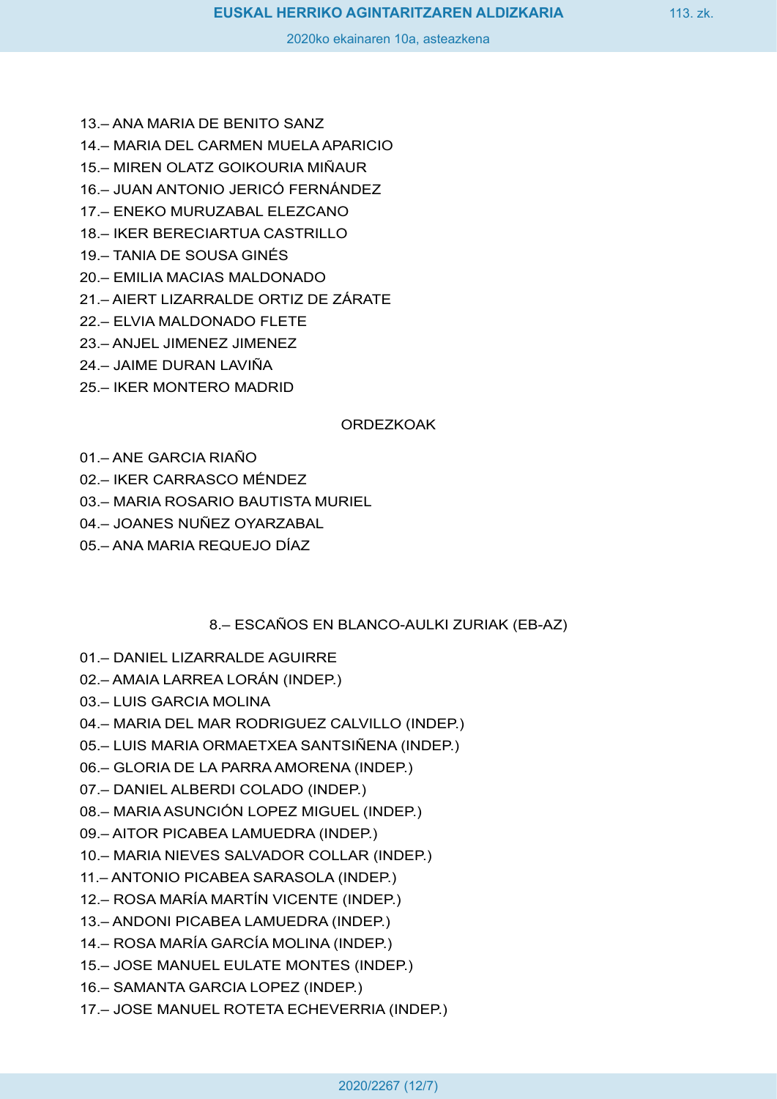- 13.– ANA MARIA DE BENITO SANZ
- 14.– MARIA DEL CARMEN MUELA APARICIO
- 15.– MIREN OLATZ GOIKOURIA MIÑAUR
- 16.– JUAN ANTONIO JERICÓ FERNÁNDEZ
- 17.– ENEKO MURUZABAL ELEZCANO
- 18.– IKER BERECIARTUA CASTRILLO
- 19.– TANIA DE SOUSA GINÉS
- 20.– EMILIA MACIAS MALDONADO
- 21.– AIERT LIZARRALDE ORTIZ DE ZÁRATE
- 22.– ELVIA MALDONADO FLETE
- 23.– ANJEL JIMENEZ JIMENEZ
- 24.– JAIME DURAN LAVIÑA
- 25.– IKER MONTERO MADRID

#### **ORDEZKOAK**

- 01.– ANE GARCIA RIAÑO
- 02.– IKER CARRASCO MÉNDEZ
- 03.– MARIA ROSARIO BAUTISTA MURIEL
- 04.– JOANES NUÑEZ OYARZABAL
- 05.– ANA MARIA REQUEJO DÍAZ

#### 8.– ESCAÑOS EN BLANCO-AULKI ZURIAK (EB-AZ)

- 01.– DANIEL LIZARRALDE AGUIRRE
- 02.– AMAIA LARREA LORÁN (INDEP.)
- 03.– LUIS GARCIA MOLINA
- 04.– MARIA DEL MAR RODRIGUEZ CALVILLO (INDEP.)
- 05.– LUIS MARIA ORMAETXEA SANTSIÑENA (INDEP.)
- 06.– GLORIA DE LA PARRA AMORENA (INDEP.)
- 07.– DANIEL ALBERDI COLADO (INDEP.)
- 08.– MARIA ASUNCIÓN LOPEZ MIGUEL (INDEP.)
- 09.– AITOR PICABEA LAMUEDRA (INDEP.)
- 10.– MARIA NIEVES SALVADOR COLLAR (INDEP.)
- 11.– ANTONIO PICABEA SARASOLA (INDEP.)
- 12.– ROSA MARÍA MARTÍN VICENTE (INDEP.)
- 13.– ANDONI PICABEA LAMUEDRA (INDEP.)
- 14.– ROSA MARÍA GARCÍA MOLINA (INDEP.)
- 15.– JOSE MANUEL EULATE MONTES (INDEP.)
- 16.– SAMANTA GARCIA LOPEZ (INDEP.)
- 17.– JOSE MANUEL ROTETA ECHEVERRIA (INDEP.)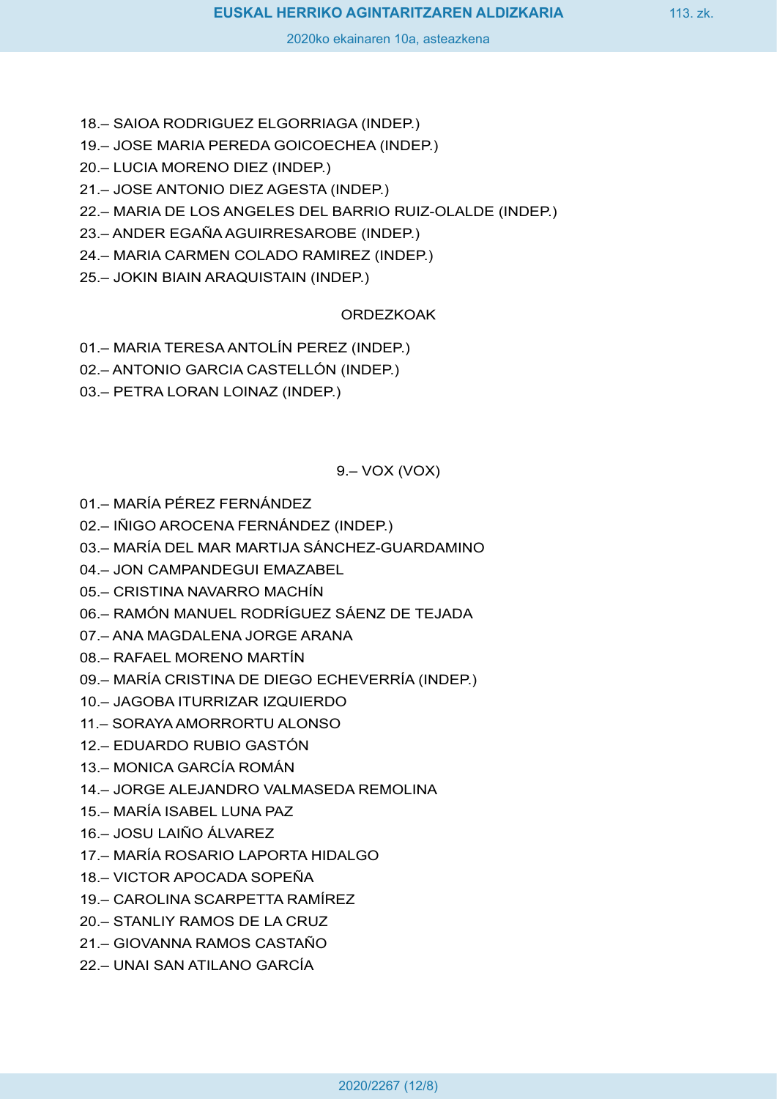- 18.– SAIOA RODRIGUEZ ELGORRIAGA (INDEP.)
- 19.– JOSE MARIA PEREDA GOICOECHEA (INDEP.)
- 20.– LUCIA MORENO DIEZ (INDEP.)
- 21.– JOSE ANTONIO DIEZ AGESTA (INDEP.)
- 22.– MARIA DE LOS ANGELES DEL BARRIO RUIZ-OLALDE (INDEP.)
- 23.– ANDER EGAÑA AGUIRRESAROBE (INDEP.)
- 24.– MARIA CARMEN COLADO RAMIREZ (INDEP.)
- 25.– JOKIN BIAIN ARAQUISTAIN (INDEP.)

# ORDEZKOAK

- 01.– MARIA TERESA ANTOLÍN PEREZ (INDEP.)
- 02.– ANTONIO GARCIA CASTELLÓN (INDEP.)
- 03.– PETRA LORAN LOINAZ (INDEP.)

# 9.– VOX (VOX)

- 01.– MARÍA PÉREZ FERNÁNDEZ
- 02.– IÑIGO AROCENA FERNÁNDEZ (INDEP.)
- 03.– MARÍA DEL MAR MARTIJA SÁNCHEZ-GUARDAMINO
- 04.– JON CAMPANDEGUI EMAZABEL
- 05.– CRISTINA NAVARRO MACHÍN
- 06.– RAMÓN MANUEL RODRÍGUEZ SÁENZ DE TEJADA
- 07.– ANA MAGDALENA JORGE ARANA
- 08.– RAFAEL MORENO MARTÍN
- 09.– MARÍA CRISTINA DE DIEGO ECHEVERRÍA (INDEP.)
- 10.– JAGOBA ITURRIZAR IZQUIERDO
- 11.– SORAYA AMORRORTU ALONSO
- 12.– EDUARDO RUBIO GASTÓN
- 13.– MONICA GARCÍA ROMÁN
- 14.– JORGE ALEJANDRO VALMASEDA REMOLINA
- 15.– MARÍA ISABEL LUNA PAZ
- 16.– JOSU LAIÑO ÁLVAREZ
- 17.– MARÍA ROSARIO LAPORTA HIDALGO
- 18.– VICTOR APOCADA SOPEÑA
- 19.– CAROLINA SCARPETTA RAMÍREZ
- 20.– STANLIY RAMOS DE LA CRUZ
- 21.– GIOVANNA RAMOS CASTAÑO
- 22.– UNAI SAN ATILANO GARCÍA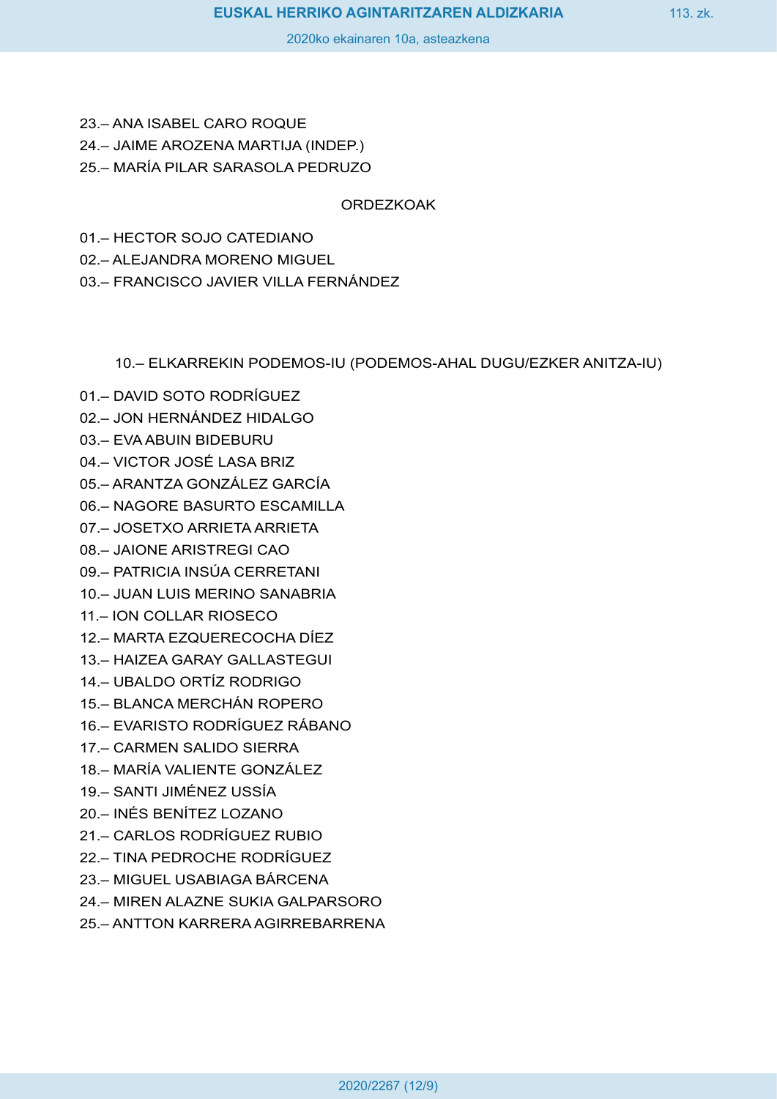- 23.– ANA ISABEL CARO ROQUE
- 24.– JAIME AROZENA MARTIJA (INDEP.)
- 25.– MARÍA PILAR SARASOLA PEDRUZO

ORDEZKOAK

- 01.– HECTOR SOJO CATEDIANO
- 02.– ALEJANDRA MORENO MIGUEL
- 03.– FRANCISCO JAVIER VILLA FERNÁNDEZ

10.– ELKARREKIN PODEMOS-IU (PODEMOS-AHAL DUGU/EZKER ANITZA-IU)

- 01.– DAVID SOTO RODRÍGUEZ
- 02.– JON HERNÁNDEZ HIDALGO
- 03.– EVA ABUIN BIDEBURU
- 04.– VICTOR JOSÉ LASA BRIZ
- 05.– ARANTZA GONZÁLEZ GARCÍA
- 06.– NAGORE BASURTO ESCAMILLA
- 07.– JOSETXO ARRIETA ARRIETA
- 08.– JAIONE ARISTREGI CAO
- 09.– PATRICIA INSÚA CERRETANI
- 10.– JUAN LUIS MERINO SANABRIA
- 11.– ION COLLAR RIOSECO
- 12.– MARTA EZQUERECOCHA DÍEZ
- 13.– HAIZEA GARAY GALLASTEGUI
- 14.– UBALDO ORTÍZ RODRIGO
- 15.– BLANCA MERCHÁN ROPERO
- 16.– EVARISTO RODRÍGUEZ RÁBANO
- 17.– CARMEN SALIDO SIERRA
- 18.– MARÍA VALIENTE GONZÁLEZ
- 19.– SANTI JIMÉNEZ USSÍA
- 20.– INÉS BENÍTEZ LOZANO
- 21.– CARLOS RODRÍGUEZ RUBIO
- 22.– TINA PEDROCHE RODRÍGUEZ
- 23.– MIGUEL USABIAGA BÁRCENA
- 24.– MIREN ALAZNE SUKIA GALPARSORO
- 25.– ANTTON KARRERA AGIRREBARRENA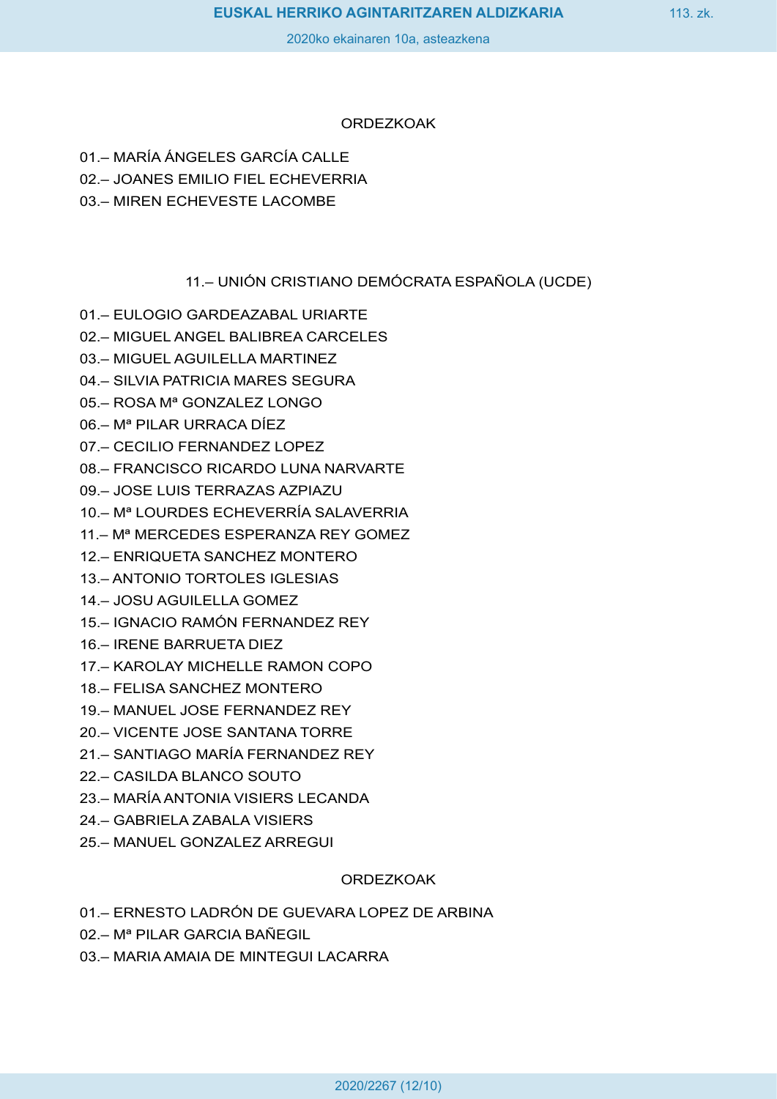## ORDEZKOAK

- 01.– MARÍA ÁNGELES GARCÍA CALLE
- 02.– JOANES EMILIO FIEL ECHEVERRIA
- 03.– MIREN ECHEVESTE LACOMBE

11.– UNIÓN CRISTIANO DEMÓCRATA ESPAÑOLA (UCDE)

- 01.– EULOGIO GARDEAZABAL URIARTE
- 02.– MIGUEL ANGEL BALIBREA CARCELES
- 03.– MIGUEL AGUILELLA MARTINEZ
- 04.– SILVIA PATRICIA MARES SEGURA
- 05.– ROSA Mª GONZALEZ LONGO
- 06.– Mª PILAR URRACA DÍEZ
- 07.– CECILIO FERNANDEZ LOPEZ
- 08.– FRANCISCO RICARDO LUNA NARVARTE
- 09.– JOSE LUIS TERRAZAS AZPIAZU
- 10.– Mª LOURDES ECHEVERRÍA SALAVERRIA
- 11.– Mª MERCEDES ESPERANZA REY GOMEZ
- 12.– ENRIQUETA SANCHEZ MONTERO
- 13.– ANTONIO TORTOLES IGLESIAS
- 14.– JOSU AGUILELLA GOMEZ
- 15.– IGNACIO RAMÓN FERNANDEZ REY
- 16.– IRENE BARRUETA DIEZ
- 17.– KAROLAY MICHELLE RAMON COPO
- 18.– FELISA SANCHEZ MONTERO
- 19.– MANUEL JOSE FERNANDEZ REY
- 20.– VICENTE JOSE SANTANA TORRE
- 21.– SANTIAGO MARÍA FERNANDEZ REY
- 22.– CASILDA BLANCO SOUTO
- 23.– MARÍA ANTONIA VISIERS LECANDA
- 24.– GABRIELA ZABALA VISIERS
- 25.– MANUEL GONZALEZ ARREGUI

## ORDEZKOAK

01.– ERNESTO LADRÓN DE GUEVARA LOPEZ DE ARBINA

- 02.– Mª PILAR GARCIA BAÑEGIL
- 03.– MARIA AMAIA DE MINTEGUI LACARRA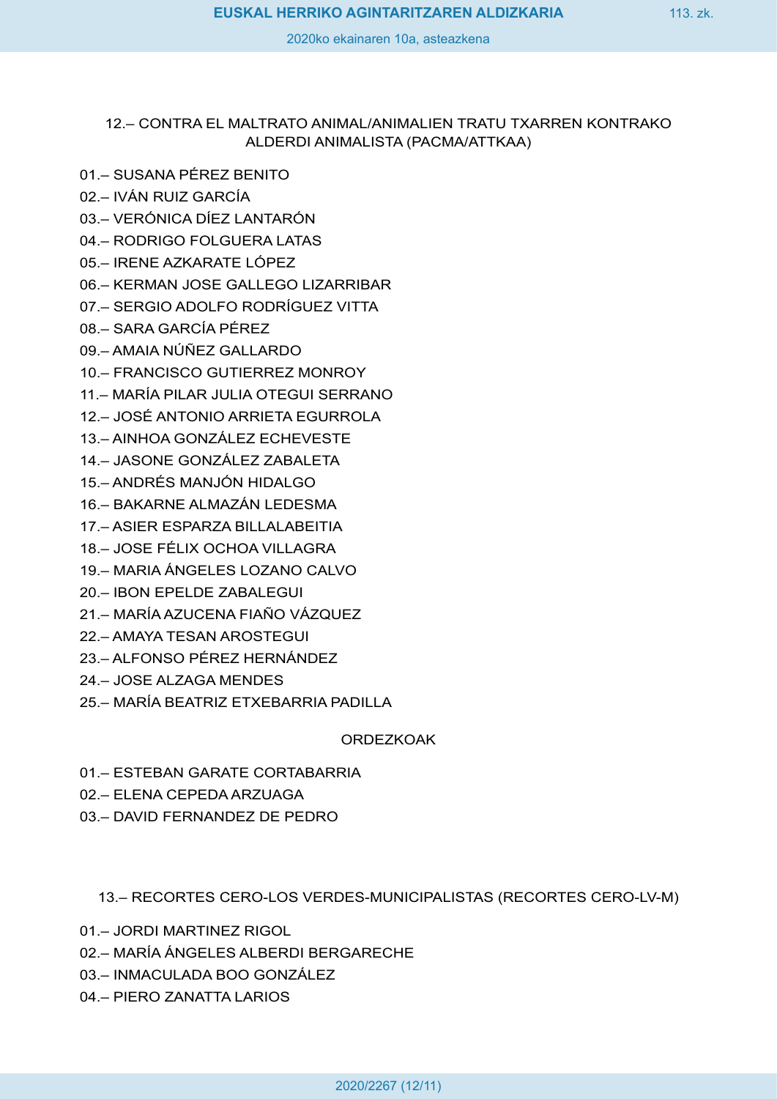## 12.– CONTRA EL MALTRATO ANIMAL/ANIMALIEN TRATU TXARREN KONTRAKO ALDERDI ANIMALISTA (PACMA/ATTKAA)

- 01.– SUSANA PÉREZ BENITO
- 02.– IVÁN RUIZ GARCÍA
- 03.– VERÓNICA DÍEZ LANTARÓN
- 04.– RODRIGO FOLGUERA LATAS
- 05.– IRENE AZKARATE LÓPEZ
- 06.– KERMAN JOSE GALLEGO LIZARRIBAR
- 07.– SERGIO ADOLFO RODRÍGUEZ VITTA
- 08.– SARA GARCÍA PÉREZ
- 09.– AMAIA NÚÑEZ GALLARDO
- 10.– FRANCISCO GUTIERREZ MONROY
- 11.– MARÍA PILAR JULIA OTEGUI SERRANO
- 12.– JOSÉ ANTONIO ARRIETA EGURROLA
- 13.– AINHOA GONZÁLEZ ECHEVESTE
- 14.– JASONE GONZÁLEZ ZABALETA
- 15.– ANDRÉS MANJÓN HIDALGO
- 16.– BAKARNE ALMAZÁN LEDESMA
- 17.– ASIER ESPARZA BILLALABEITIA
- 18.– JOSE FÉLIX OCHOA VILLAGRA
- 19.– MARIA ÁNGELES LOZANO CALVO
- 20.– IBON EPELDE ZABALEGUI
- 21.– MARÍA AZUCENA FIAÑO VÁZQUEZ
- 22.– AMAYA TESAN AROSTEGUI
- 23.– ALFONSO PÉREZ HERNÁNDEZ
- 24.– JOSE ALZAGA MENDES
- 25.– MARÍA BEATRIZ ETXEBARRIA PADILLA

## **ORDEZKOAK**

- 01.– ESTEBAN GARATE CORTABARRIA
- 02.– ELENA CEPEDA ARZUAGA
- 03.– DAVID FERNANDEZ DE PEDRO

13.– RECORTES CERO-LOS VERDES-MUNICIPALISTAS (RECORTES CERO-LV-M)

- 01.– JORDI MARTINEZ RIGOL
- 02.– MARÍA ÁNGELES ALBERDI BERGARECHE
- 03.– INMACULADA BOO GONZÁLEZ
- 04.– PIERO ZANATTA LARIOS